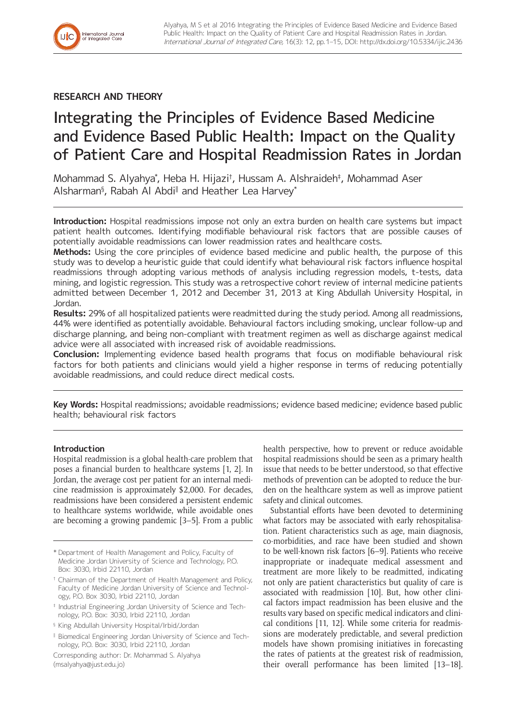

## **RESEARCH AND THEORY**

# Integrating the Principles of Evidence Based Medicine and Evidence Based Public Health: Impact on the Quality of Patient Care and Hospital Readmission Rates in Jordan

Mohammad S. Alyahya\* , Heba H. Hijazi† , Hussam A. Alshraideh‡ , Mohammad Aser Alsharman§ , Rabah Al Abdi‖ and Heather Lea Harvey\*

**Introduction:** Hospital readmissions impose not only an extra burden on health care systems but impact patient health outcomes. Identifying modifiable behavioural risk factors that are possible causes of potentially avoidable readmissions can lower readmission rates and healthcare costs.

**Methods:** Using the core principles of evidence based medicine and public health, the purpose of this study was to develop a heuristic guide that could identify what behavioural risk factors influence hospital readmissions through adopting various methods of analysis including regression models, t-tests, data mining, and logistic regression. This study was a retrospective cohort review of internal medicine patients admitted between December 1, 2012 and December 31, 2013 at King Abdullah University Hospital, in Jordan.

**Results:** 29% of all hospitalized patients were readmitted during the study period. Among all readmissions, 44% were identified as potentially avoidable. Behavioural factors including smoking, unclear follow-up and discharge planning, and being non-compliant with treatment regimen as well as discharge against medical advice were all associated with increased risk of avoidable readmissions.

**Conclusion:** Implementing evidence based health programs that focus on modifiable behavioural risk factors for both patients and clinicians would yield a higher response in terms of reducing potentially avoidable readmissions, and could reduce direct medical costs.

**Key Words:** Hospital readmissions; avoidable readmissions; evidence based medicine; evidence based public health; behavioural risk factors

## **Introduction**

Hospital readmission is a global health-care problem that poses a financial burden to healthcare systems [1, 2]. In Jordan, the average cost per patient for an internal medicine readmission is approximately \$2,000. For decades, readmissions have been considered a persistent endemic to healthcare systems worldwide, while avoidable ones are becoming a growing pandemic [3–5]. From a public

Corresponding author: Dr. Mohammad S. Alyahya [\(msalyahya@just.edu.jo\)](mailto:msalyahya@just.edu.jo)

health perspective, how to prevent or reduce avoidable hospital readmissions should be seen as a primary health issue that needs to be better understood, so that effective methods of prevention can be adopted to reduce the burden on the healthcare system as well as improve patient safety and clinical outcomes.

Substantial efforts have been devoted to determining what factors may be associated with early rehospitalisation. Patient characteristics such as age, main diagnosis, co-morbidities, and race have been studied and shown to be well-known risk factors [6–9]. Patients who receive inappropriate or inadequate medical assessment and treatment are more likely to be readmitted, indicating not only are patient characteristics but quality of care is associated with readmission [10]. But, how other clinical factors impact readmission has been elusive and the results vary based on specific medical indicators and clinical conditions [11, 12]. While some criteria for readmissions are moderately predictable, and several prediction models have shown promising initiatives in forecasting the rates of patients at the greatest risk of readmission, their overall performance has been limited [13–18].

<sup>\*</sup> Department of Health Management and Policy, Faculty of Medicine Jordan University of Science and Technology, P.O. Box: 3030, Irbid 22110, Jordan

<sup>†</sup> Chairman of the Department of Health Management and Policy, Faculty of Medicine Jordan University of Science and Technology, P.O. Box 3030, Irbid 22110, Jordan

<sup>‡</sup> Industrial Engineering Jordan University of Science and Technology, P.O. Box: 3030, Irbid 22110, Jordan

<sup>§</sup> King Abdullah University Hospital/Irbid/Jordan

<sup>‖</sup> Biomedical Engineering Jordan University of Science and Technology, P.O. Box: 3030, Irbid 22110, Jordan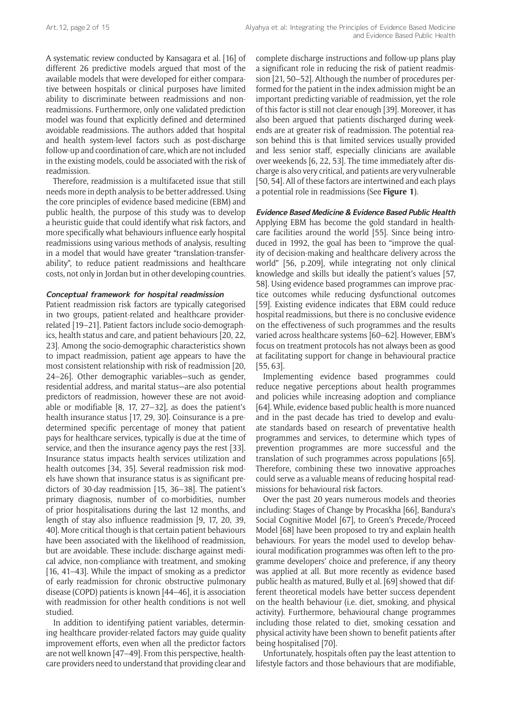A systematic review conducted by Kansagara et al. [16] of different 26 predictive models argued that most of the available models that were developed for either comparative between hospitals or clinical purposes have limited ability to discriminate between readmissions and nonreadmissions. Furthermore, only one validated prediction model was found that explicitly defined and determined avoidable readmissions. The authors added that hospital and health system-level factors such as post-discharge follow-up and coordination of care, which are not included in the existing models, could be associated with the risk of readmission.

Therefore, readmission is a multifaceted issue that still needs more in depth analysis to be better addressed. Using the core principles of evidence based medicine (EBM) and public health, the purpose of this study was to develop a heuristic guide that could identify what risk factors, and more specifically what behaviours influence early hospital readmissions using various methods of analysis, resulting in a model that would have greater "translation-transferability", to reduce patient readmissions and healthcare costs, not only in Jordan but in other developing countries.

#### **Conceptual framework for hospital readmission**

Patient readmission risk factors are typically categorised in two groups, patient-related and healthcare providerrelated [19–21]. Patient factors include socio-demographics, health status and care, and patient behaviours [20, 22, 23]. Among the socio-demographic characteristics shown to impact readmission, patient age appears to have the most consistent relationship with risk of readmission [20, 24–26]. Other demographic variables—such as gender, residential address, and marital status—are also potential predictors of readmission, however these are not avoidable or modifiable [8, 17, 27–32], as does the patient's health insurance status [17, 29, 30]. Coinsurance is a predetermined specific percentage of money that patient pays for healthcare services, typically is due at the time of service, and then the insurance agency pays the rest [33]. Insurance status impacts health services utilization and health outcomes [34, 35]. Several readmission risk models have shown that insurance status is as significant predictors of 30-day readmission [15, 36–38]. The patient's primary diagnosis, number of co-morbidities, number of prior hospitalisations during the last 12 months, and length of stay also influence readmission [9, 17, 20, 39, 40]. More critical though is that certain patient behaviours have been associated with the likelihood of readmission, but are avoidable. These include: discharge against medical advice, non-compliance with treatment, and smoking [16, 41–43]. While the impact of smoking as a predictor of early readmission for chronic obstructive pulmonary disease (COPD) patients is known [44–46], it is association with readmission for other health conditions is not well studied.

In addition to identifying patient variables, determining healthcare provider-related factors may guide quality improvement efforts, even when all the predictor factors are not well known [47–49]. From this perspective, healthcare providers need to understand that providing clear and complete discharge instructions and follow-up plans play a significant role in reducing the risk of patient readmission [21, 50–52]. Although the number of procedures performed for the patient in the index admission might be an important predicting variable of readmission, yet the role of this factor is still not clear enough [39]. Moreover, it has also been argued that patients discharged during weekends are at greater risk of readmission. The potential reason behind this is that limited services usually provided and less senior staff, especially clinicians are available over weekends [6, 22, 53]. The time immediately after discharge is also very critical, and patients are very vulnerable [50, 54]. All of these factors are intertwined and each plays a potential role in readmissions (See **Figure 1**).

#### **Evidence Based Medicine & Evidence Based Public Health**

Applying EBM has become the gold standard in healthcare facilities around the world [55]. Since being introduced in 1992, the goal has been to "improve the quality of decision-making and healthcare delivery across the world" [56, p.209], while integrating not only clinical knowledge and skills but ideally the patient's values [57, 58]. Using evidence based programmes can improve practice outcomes while reducing dysfunctional outcomes [59]. Existing evidence indicates that EBM could reduce hospital readmissions, but there is no conclusive evidence on the effectiveness of such programmes and the results varied across healthcare systems [60–62]. However, EBM's focus on treatment protocols has not always been as good at facilitating support for change in behavioural practice [55, 63].

Implementing evidence based programmes could reduce negative perceptions about health programmes and policies while increasing adoption and compliance [64]. While, evidence based public health is more nuanced and in the past decade has tried to develop and evaluate standards based on research of preventative health programmes and services, to determine which types of prevention programmes are more successful and the translation of such programmes across populations [65]. Therefore, combining these two innovative approaches could serve as a valuable means of reducing hospital readmissions for behavioural risk factors.

Over the past 20 years numerous models and theories including: Stages of Change by Procaskha [66], Bandura's Social Cognitive Model [67], to Green's Precede/Proceed Model [68] have been proposed to try and explain health behaviours. For years the model used to develop behavioural modification programmes was often left to the programme developers' choice and preference, if any theory was applied at all. But more recently as evidence based public health as matured, Bully et al. [69] showed that different theoretical models have better success dependent on the health behaviour (i.e. diet, smoking, and physical activity). Furthermore, behavioural change programmes including those related to diet, smoking cessation and physical activity have been shown to benefit patients after being hospitalised [70].

Unfortunately, hospitals often pay the least attention to lifestyle factors and those behaviours that are modifiable,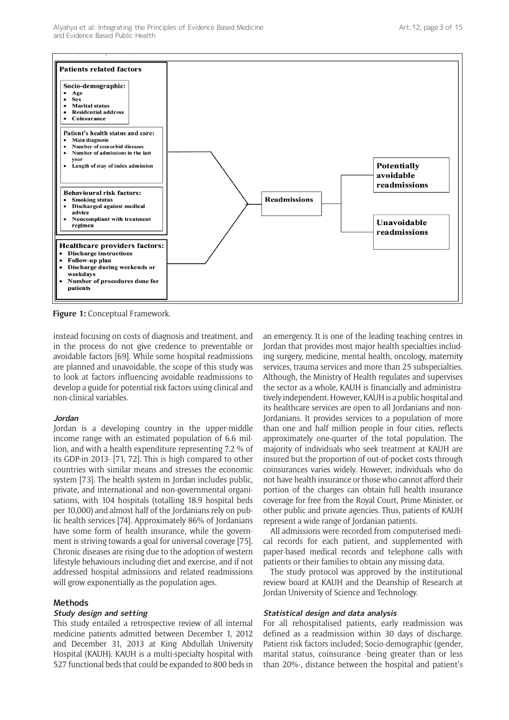Alyahya et al: Integrating the Principles of Evidence Based Medicine and Evidence Based Public Health



**Figure 1:** Conceptual Framework.

instead focusing on costs of diagnosis and treatment, and in the process do not give credence to preventable or avoidable factors [69]. While some hospital readmissions are planned and unavoidable, the scope of this study was to look at factors influencing avoidable readmissions to develop a guide for potential risk factors using clinical and non-clinical variables.

#### **Jordan**

Jordan is a developing country in the upper-middle income range with an estimated population of 6.6 million, and with a health expenditure representing 7.2 % of its GDP-in 2013- [71, 72]. This is high compared to other countries with similar means and stresses the economic system [73]. The health system in Jordan includes public, private, and international and non-governmental organisations, with 104 hospitals (totalling 18.9 hospital beds per 10,000) and almost half of the Jordanians rely on public health services [74]. Approximately 86% of Jordanians have some form of health insurance, while the government is striving towards a goal for universal coverage [75]. Chronic diseases are rising due to the adoption of western lifestyle behaviours including diet and exercise, and if not addressed hospital admissions and related readmissions will grow exponentially as the population ages.

#### **Methods**

## **Study design and setting**

This study entailed a retrospective review of all internal medicine patients admitted between December 1, 2012 and December 31, 2013 at King Abdullah University Hospital (KAUH). KAUH is a multi-specialty hospital with 527 functional beds that could be expanded to 800 beds in an emergency. It is one of the leading teaching centres in Jordan that provides most major health specialties including surgery, medicine, mental health, oncology, maternity services, trauma services and more than 25 subspecialties. Although, the Ministry of Health regulates and supervises the sector as a whole, KAUH is financially and administratively independent. However, KAUH is a public hospital and its healthcare services are open to all Jordanians and non-Jordanians. It provides services to a population of more than one and half million people in four cities, reflects approximately one-quarter of the total population. The majority of individuals who seek treatment at KAUH are insured but the proportion of out-of-pocket costs through coinsurances varies widely. However, individuals who do not have health insurance or those who cannot afford their portion of the charges can obtain full health insurance coverage for free from the Royal Court, Prime Minister, or other public and private agencies. Thus, patients of KAUH represent a wide range of Jordanian patients.

All admissions were recorded from computerised medical records for each patient, and supplemented with paper-based medical records and telephone calls with patients or their families to obtain any missing data.

The study protocol was approved by the institutional review board at KAUH and the Deanship of Research at Jordan University of Science and Technology.

#### **Statistical design and data analysis**

For all rehospitalised patients, early readmission was defined as a readmission within 30 days of discharge. Patient risk factors included; Socio-demographic (gender, marital status, coinsurance -being greater than or less than 20%-, distance between the hospital and patient's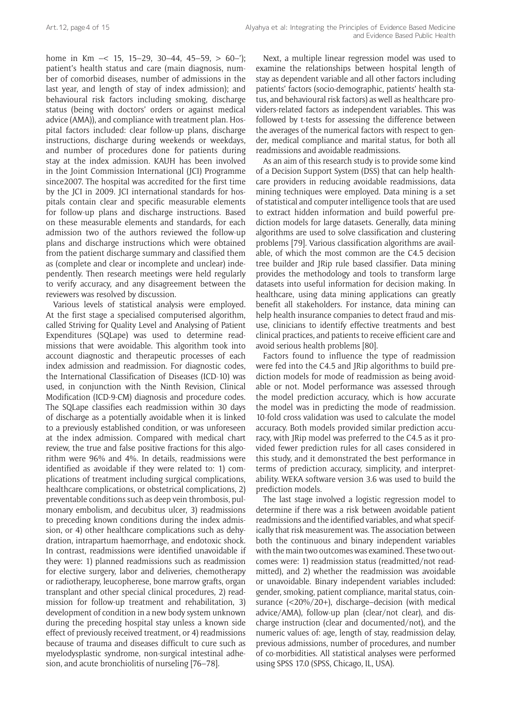home in Km  $\sim$  15, 15–29, 30–44, 45–59,  $> 60$ –'); patient's health status and care (main diagnosis, number of comorbid diseases, number of admissions in the last year, and length of stay of index admission); and behavioural risk factors including smoking, discharge status (being with doctors' orders or against medical advice (AMA)), and compliance with treatment plan. Hospital factors included: clear follow-up plans, discharge instructions, discharge during weekends or weekdays, and number of procedures done for patients during stay at the index admission. KAUH has been involved in the Joint Commission International (JCI) Programme since2007. The hospital was accredited for the first time by the JCI in 2009. JCI international standards for hospitals contain clear and specific measurable elements for follow-up plans and discharge instructions. Based on these measurable elements and standards, for each admission two of the authors reviewed the follow-up plans and discharge instructions which were obtained from the patient discharge summary and classified them as (complete and clear or incomplete and unclear) independently. Then research meetings were held regularly to verify accuracy, and any disagreement between the reviewers was resolved by discussion.

Various levels of statistical analysis were employed. At the first stage a specialised computerised algorithm, called Striving for Quality Level and Analysing of Patient Expenditures (SQLape) was used to determine readmissions that were avoidable. This algorithm took into account diagnostic and therapeutic processes of each index admission and readmission. For diagnostic codes, the International Classification of Diseases (ICD-10) was used, in conjunction with the Ninth Revision, Clinical Modification (ICD-9-CM) diagnosis and procedure codes. The SQLape classifies each readmission within 30 days of discharge as a potentially avoidable when it is linked to a previously established condition, or was unforeseen at the index admission. Compared with medical chart review, the true and false positive fractions for this algorithm were 96% and 4%. In details, readmissions were identified as avoidable if they were related to: 1) complications of treatment including surgical complications, healthcare complications, or obstetrical complications, 2) preventable conditions such as deep vein thrombosis, pulmonary embolism, and decubitus ulcer, 3) readmissions to preceding known conditions during the index admission, or 4) other healthcare complications such as dehydration, intrapartum haemorrhage, and endotoxic shock. In contrast, readmissions were identified unavoidable if they were: 1) planned readmissions such as readmission for elective surgery, labor and deliveries, chemotherapy or radiotherapy, leucopherese, bone marrow grafts, organ transplant and other special clinical procedures, 2) readmission for follow-up treatment and rehabilitation, 3) development of condition in a new body system unknown during the preceding hospital stay unless a known side effect of previously received treatment, or 4) readmissions because of trauma and diseases difficult to cure such as myelodysplastic syndrome, non-surgical intestinal adhesion, and acute bronchiolitis of nurseling [76–78].

Next, a multiple linear regression model was used to examine the relationships between hospital length of stay as dependent variable and all other factors including patients' factors (socio-demographic, patients' health status, and behavioural risk factors) as well as healthcare providers-related factors as independent variables. This was followed by t-tests for assessing the difference between the averages of the numerical factors with respect to gender, medical compliance and marital status, for both all readmissions and avoidable readmissions.

As an aim of this research study is to provide some kind of a Decision Support System (DSS) that can help healthcare providers in reducing avoidable readmissions, data mining techniques were employed. Data mining is a set of statistical and computer intelligence tools that are used to extract hidden information and build powerful prediction models for large datasets. Generally, data mining algorithms are used to solve classification and clustering problems [79]. Various classification algorithms are available, of which the most common are the C4.5 decision tree builder and JRip rule based classifier. Data mining provides the methodology and tools to transform large datasets into useful information for decision making. In healthcare, using data mining applications can greatly benefit all stakeholders. For instance, data mining can help health insurance companies to detect fraud and misuse, clinicians to identify effective treatments and best clinical practices, and patients to receive efficient care and avoid serious health problems [80].

Factors found to influence the type of readmission were fed into the C4.5 and JRip algorithms to build prediction models for mode of readmission as being avoidable or not. Model performance was assessed through the model prediction accuracy, which is how accurate the model was in predicting the mode of readmission. 10-fold cross validation was used to calculate the model accuracy. Both models provided similar prediction accuracy, with JRip model was preferred to the C4.5 as it provided fewer prediction rules for all cases considered in this study, and it demonstrated the best performance in terms of prediction accuracy, simplicity, and interpretability. WEKA software version 3.6 was used to build the prediction models.

The last stage involved a logistic regression model to determine if there was a risk between avoidable patient readmissions and the identified variables, and what specifically that risk measurement was. The association between both the continuous and binary independent variables with the main two outcomes was examined. These two outcomes were: 1) readmission status (readmitted/not readmitted), and 2) whether the readmission was avoidable or unavoidable. Binary independent variables included: gender, smoking, patient compliance, marital status, coinsurance (<20%/20+), discharge–decision (with medical advice/AMA), follow-up plan (clear/not clear), and discharge instruction (clear and documented/not), and the numeric values of: age, length of stay, readmission delay, previous admissions, number of procedures, and number of co-morbidities. All statistical analyses were performed using SPSS 17.0 (SPSS, Chicago, IL, USA).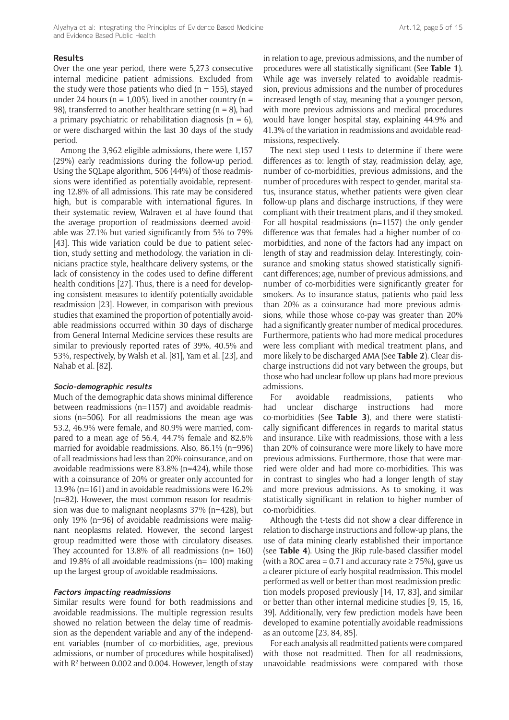#### **Results**

Over the one year period, there were 5,273 consecutive internal medicine patient admissions. Excluded from the study were those patients who died ( $n = 155$ ), stayed under 24 hours ( $n = 1,005$ ), lived in another country ( $n =$ 98), transferred to another healthcare setting ( $n = 8$ ), had a primary psychiatric or rehabilitation diagnosis ( $n = 6$ ), or were discharged within the last 30 days of the study period.

Among the 3,962 eligible admissions, there were 1,157 (29%) early readmissions during the follow-up period. Using the SQLape algorithm, 506 (44%) of those readmissions were identified as potentially avoidable, representing 12.8% of all admissions. This rate may be considered high, but is comparable with international figures. In their systematic review, Walraven et al have found that the average proportion of readmissions deemed avoidable was 27.1% but varied significantly from 5% to 79% [43]. This wide variation could be due to patient selection, study setting and methodology, the variation in clinicians practice style, healthcare delivery systems, or the lack of consistency in the codes used to define different health conditions [27]. Thus, there is a need for developing consistent measures to identify potentially avoidable readmission [23]. However, in comparison with previous studies that examined the proportion of potentially avoidable readmissions occurred within 30 days of discharge from General Internal Medicine services these results are similar to previously reported rates of 39%, 40.5% and 53%, respectively, by Walsh et al. [81], Yam et al. [23], and Nahab et al. [82].

#### **Socio-demographic results**

Much of the demographic data shows minimal difference between readmissions (n=1157) and avoidable readmissions (n=506). For all readmissions the mean age was 53.2, 46.9% were female, and 80.9% were married, compared to a mean age of 56.4, 44.7% female and 82.6% married for avoidable readmissions. Also, 86.1% (n=996) of all readmissions had less than 20% coinsurance, and on avoidable readmissions were 83.8% (n=424), while those with a coinsurance of 20% or greater only accounted for 13.9% (n=161) and in avoidable readmissions were 16.2% (n=82). However, the most common reason for readmission was due to malignant neoplasms 37% (n=428), but only 19% (n=96) of avoidable readmissions were malignant neoplasms related. However, the second largest group readmitted were those with circulatory diseases. They accounted for 13.8% of all readmissions (n= 160) and 19.8% of all avoidable readmissions (n= 100) making up the largest group of avoidable readmissions.

#### **Factors impacting readmissions**

Similar results were found for both readmissions and avoidable readmissions. The multiple regression results showed no relation between the delay time of readmission as the dependent variable and any of the independent variables (number of co-morbidities, age, previous admissions, or number of procedures while hospitalised) with R<sup>2</sup> between 0.002 and 0.004. However, length of stay in relation to age, previous admissions, and the number of procedures were all statistically significant (See **Table 1**). While age was inversely related to avoidable readmission, previous admissions and the number of procedures increased length of stay, meaning that a younger person, with more previous admissions and medical procedures would have longer hospital stay, explaining 44.9% and 41.3% of the variation in readmissions and avoidable readmissions, respectively.

The next step used t-tests to determine if there were differences as to: length of stay, readmission delay, age, number of co-morbidities, previous admissions, and the number of procedures with respect to gender, marital status, insurance status, whether patients were given clear follow-up plans and discharge instructions, if they were compliant with their treatment plans, and if they smoked. For all hospital readmissions (n=1157) the only gender difference was that females had a higher number of comorbidities, and none of the factors had any impact on length of stay and readmission delay. Interestingly, coinsurance and smoking status showed statistically significant differences; age, number of previous admissions, and number of co-morbidities were significantly greater for smokers. As to insurance status, patients who paid less than 20% as a coinsurance had more previous admissions, while those whose co-pay was greater than 20% had a significantly greater number of medical procedures. Furthermore, patients who had more medical procedures were less compliant with medical treatment plans, and more likely to be discharged AMA (See **Table 2**). Clear discharge instructions did not vary between the groups, but those who had unclear follow-up plans had more previous admissions.

For avoidable readmissions, patients who had unclear discharge instructions had more co-morbidities (See **Table 3**), and there were statistically significant differences in regards to marital status and insurance. Like with readmissions, those with a less than 20% of coinsurance were more likely to have more previous admissions. Furthermore, those that were married were older and had more co-morbidities. This was in contrast to singles who had a longer length of stay and more previous admissions. As to smoking, it was statistically significant in relation to higher number of co-morbidities.

Although the t-tests did not show a clear difference in relation to discharge instructions and follow-up plans, the use of data mining clearly established their importance (see **Table 4**). Using the JRip rule-based classifier model (with a ROC area = 0.71 and accuracy rate  $\geq$  75%), gave us a clearer picture of early hospital readmission. This model performed as well or better than most readmission prediction models proposed previously [14, 17, 83], and similar or better than other internal medicine studies [9, 15, 16, 39]. Additionally, very few prediction models have been developed to examine potentially avoidable readmissions as an outcome [23, 84, 85].

For each analysis all readmitted patients were compared with those not readmitted. Then for all readmissions, unavoidable readmissions were compared with those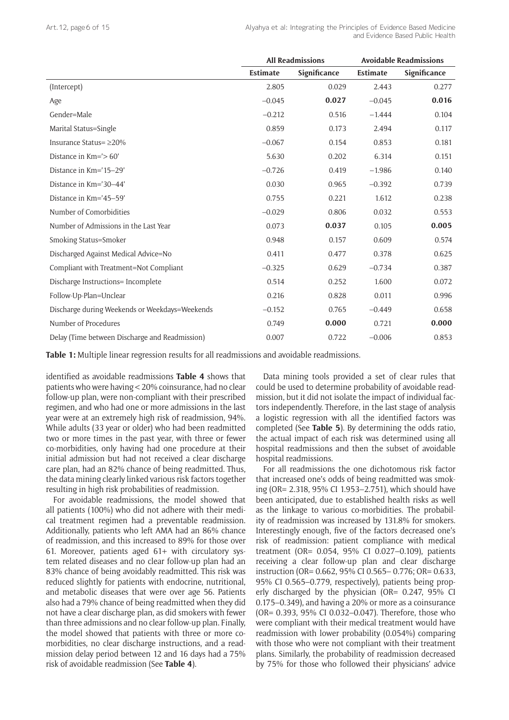|                                                | <b>All Readmissions</b> |              | <b>Avoidable Readmissions</b> |              |
|------------------------------------------------|-------------------------|--------------|-------------------------------|--------------|
|                                                | Estimate                | Significance | Estimate                      | Significance |
| (Intercept)                                    | 2.805                   | 0.029        | 2.443                         | 0.277        |
| Age                                            | $-0.045$                | 0.027        | $-0.045$                      | 0.016        |
| Gender=Male                                    | $-0.212$                | 0.516        | $-1.444$                      | 0.104        |
| Marital Status=Single                          | 0.859                   | 0.173        | 2.494                         | 0.117        |
| Insurance Status= ≥20%                         | $-0.067$                | 0.154        | 0.853                         | 0.181        |
| Distance in Km='> 60'                          | 5.630                   | 0.202        | 6.314                         | 0.151        |
| Distance in Km='15-29'                         | $-0.726$                | 0.419        | $-1.986$                      | 0.140        |
| Distance in Km='30-44'                         | 0.030                   | 0.965        | $-0.392$                      | 0.739        |
| Distance in Km='45-59'                         | 0.755                   | 0.221        | 1.612                         | 0.238        |
| Number of Comorbidities                        | $-0.029$                | 0.806        | 0.032                         | 0.553        |
| Number of Admissions in the Last Year          | 0.073                   | 0.037        | 0.105                         | 0.005        |
| Smoking Status=Smoker                          | 0.948                   | 0.157        | 0.609                         | 0.574        |
| Discharged Against Medical Advice=No           | 0.411                   | 0.477        | 0.378                         | 0.625        |
| Compliant with Treatment=Not Compliant         | $-0.325$                | 0.629        | $-0.734$                      | 0.387        |
| Discharge Instructions= Incomplete             | 0.514                   | 0.252        | 1.600                         | 0.072        |
| Follow-Up-Plan=Unclear                         | 0.216                   | 0.828        | 0.011                         | 0.996        |
| Discharge during Weekends or Weekdays=Weekends | $-0.152$                | 0.765        | $-0.449$                      | 0.658        |
| Number of Procedures                           | 0.749                   | 0.000        | 0.721                         | 0.000        |
| Delay (Time between Discharge and Readmission) | 0.007                   | 0.722        | $-0.006$                      | 0.853        |

**Table 1:** Multiple linear regression results for all readmissions and avoidable readmissions.

identified as avoidable readmissions **Table 4** shows that patients who were having < 20% coinsurance, had no clear follow-up plan, were non-compliant with their prescribed regimen, and who had one or more admissions in the last year were at an extremely high risk of readmission, 94%. While adults (33 year or older) who had been readmitted two or more times in the past year, with three or fewer co-morbidities, only having had one procedure at their initial admission but had not received a clear discharge care plan, had an 82% chance of being readmitted. Thus, the data mining clearly linked various risk factors together resulting in high risk probabilities of readmission.

For avoidable readmissions, the model showed that all patients (100%) who did not adhere with their medical treatment regimen had a preventable readmission. Additionally, patients who left AMA had an 86% chance of readmission, and this increased to 89% for those over 61. Moreover, patients aged  $61+$  with circulatory system related diseases and no clear follow-up plan had an 83% chance of being avoidably readmitted. This risk was reduced slightly for patients with endocrine, nutritional, and metabolic diseases that were over age 56. Patients also had a 79% chance of being readmitted when they did not have a clear discharge plan, as did smokers with fewer than three admissions and no clear follow-up plan. Finally, the model showed that patients with three or more comorbidities, no clear discharge instructions, and a readmission delay period between 12 and 16 days had a 75% risk of avoidable readmission (See **Table 4**).

Data mining tools provided a set of clear rules that could be used to determine probability of avoidable readmission, but it did not isolate the impact of individual factors independently. Therefore, in the last stage of analysis a logistic regression with all the identified factors was completed (See **Table 5**). By determining the odds ratio, the actual impact of each risk was determined using all hospital readmissions and then the subset of avoidable hospital readmissions.

For all readmissions the one dichotomous risk factor that increased one's odds of being readmitted was smoking (OR= 2.318, 95% CI 1.953–2.751), which should have been anticipated, due to established health risks as well as the linkage to various co-morbidities. The probability of readmission was increased by 131.8% for smokers. Interestingly enough, five of the factors decreased one's risk of readmission: patient compliance with medical treatment (OR= 0.054, 95% CI 0.027–0.109), patients receiving a clear follow-up plan and clear discharge instruction (OR= 0.662, 95% CI 0.565– 0.776; OR= 0.633, 95% CI 0.565–0.779, respectively), patients being properly discharged by the physician (OR= 0.247, 95% CI 0.175–0.349), and having a 20% or more as a coinsurance (OR= 0.393, 95% CI 0.032–0.047). Therefore, those who were compliant with their medical treatment would have readmission with lower probability (0.054%) comparing with those who were not compliant with their treatment plans. Similarly, the probability of readmission decreased by 75% for those who followed their physicians' advice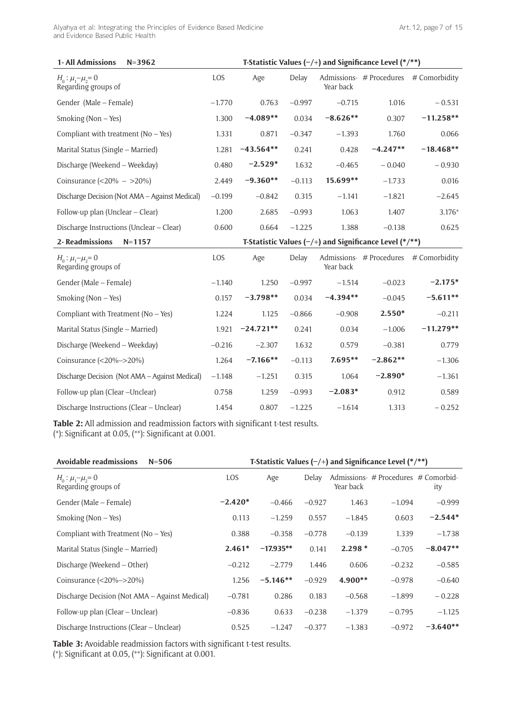Alyahya et al: Integrating the Principles of Evidence Based Medicine and Evidence Based Public Health

| 1-All Admissions<br>$N = 3962$                 | T-Statistic Values $(-/+)$ and Significance Level (*/**) |             |          |            |                                                          |               |
|------------------------------------------------|----------------------------------------------------------|-------------|----------|------------|----------------------------------------------------------|---------------|
| $H_0: \mu_1-\mu_2=0$<br>Regarding groups of    | LOS                                                      | Age         | Delay    | Year back  | Admissions- # Procedures                                 | # Comorbidity |
| Gender (Male – Female)                         | $-1.770$                                                 | 0.763       | $-0.997$ | $-0.715$   | 1.016                                                    | $-0.531$      |
| Smoking (Non – Yes)                            | 1.300                                                    | $-4.089**$  | 0.034    | $-8.626**$ | 0.307                                                    | $-11.258**$   |
| Compliant with treatment $(No - Yes)$          | 1.331                                                    | 0.871       | $-0.347$ | $-1.393$   | 1.760                                                    | 0.066         |
| Marital Status (Single – Married)              | 1.281                                                    | $-43.564**$ | 0.241    | 0.428      | $-4.247**$                                               | $-18.468**$   |
| Discharge (Weekend - Weekday)                  | 0.480                                                    | $-2.529*$   | 1.632    | $-0.465$   | $-0.040$                                                 | $-0.930$      |
| Coinsurance $(<20\% - >20\%)$                  | 2.449                                                    | $-9.360**$  | $-0.113$ | 15.699**   | $-1.733$                                                 | 0.016         |
| Discharge Decision (Not AMA – Against Medical) | $-0.199$                                                 | $-0.842$    | 0.315    | $-1.141$   | $-1.821$                                                 | $-2.645$      |
| Follow-up plan (Unclear – Clear)               | 1.200                                                    | 2.685       | $-0.993$ | 1.063      | 1.407                                                    | $3.176*$      |
| Discharge Instructions (Unclear – Clear)       | 0.600                                                    | 0.664       | $-1.225$ | 1.388      | $-0.138$                                                 | 0.625         |
| 2-Readmissions<br>$N = 1157$                   |                                                          |             |          |            | T-Statistic Values $(-/+)$ and Significance Level (*/**) |               |
| $H_0: \mu_1-\mu_2=0$<br>Regarding groups of    | LOS                                                      | Age         | Delay    | Year back  | Admissions- # Procedures                                 | # Comorbidity |

| Regarding groups of                            |          |             |          | Year back  |            |             |
|------------------------------------------------|----------|-------------|----------|------------|------------|-------------|
| Gender (Male – Female)                         | $-1.140$ | 1.250       | $-0.997$ | $-1.514$   | $-0.023$   | $-2.175*$   |
| Smoking (Non $-$ Yes)                          | 0.157    | $-3.798**$  | 0.034    | $-4.394**$ | $-0.045$   | $-5.611**$  |
| Compliant with Treatment ( $No - Yes$ )        | 1.224    | 1.125       | $-0.866$ | $-0.908$   | $2.550*$   | $-0.211$    |
| Marital Status (Single – Married)              | 1.921    | $-24.721**$ | 0.241    | 0.034      | $-1.006$   | $-11.279**$ |
| Discharge (Weekend – Weekday)                  | $-0.216$ | $-2.307$    | 1.632    | 0.579      | $-0.381$   | 0.779       |
| Coinsurance $(<20\% - >20\%)$                  | 1.264    | $-7.166**$  | $-0.113$ | $7.695**$  | $-2.862**$ | $-1.306$    |
| Discharge Decision (Not AMA – Against Medical) | $-1.148$ | $-1.251$    | 0.315    | 1.064      | $-2.890*$  | $-1.361$    |
| Follow-up plan (Clear -Unclear)                | 0.758    | 1.259       | $-0.993$ | $-2.083*$  | 0.912      | 0.589       |
| Discharge Instructions (Clear – Unclear)       | 1.454    | 0.807       | $-1.225$ | $-1.614$   | 1.313      | $-0.252$    |
|                                                |          |             |          |            |            |             |

**Table 2:** All admission and readmission factors with significant t-test results. (\*): Significant at 0.05, (\*\*): Significant at 0.001.

| <b>Avoidable readmissions</b><br>$N = 506$     |           |             |          |           | T-Statistic Values $(-/+)$ and Significance Level $(*/**)$ |            |
|------------------------------------------------|-----------|-------------|----------|-----------|------------------------------------------------------------|------------|
| $H_0: \mu_1-\mu_2=0$<br>Regarding groups of    | LOS       | Age         | Delay    | Year back | Admissions- # Procedures # Comorbid-                       | ity        |
| Gender (Male – Female)                         | $-2.420*$ | $-0.466$    | $-0.927$ | 1.463     | $-1.094$                                                   | $-0.999$   |
| Smoking (Non $-$ Yes)                          | 0.113     | $-1.259$    | 0.557    | $-1.845$  | 0.603                                                      | $-2.544*$  |
| Compliant with Treatment ( $No - Yes$ )        | 0.388     | $-0.358$    | $-0.778$ | $-0.139$  | 1.339                                                      | $-1.738$   |
| Marital Status (Single – Married)              | $2.461*$  | $-17.935**$ | 0.141    | $2.298*$  | $-0.705$                                                   | $-8.047**$ |
| Discharge (Weekend – Other)                    | $-0.212$  | $-2.779$    | 1.446    | 0.606     | $-0.232$                                                   | $-0.585$   |
| Coinsurance $(<20\% - >20\%)$                  | 1.256     | $-5.146**$  | $-0.929$ | $4.900**$ | $-0.978$                                                   | $-0.640$   |
| Discharge Decision (Not AMA – Against Medical) | $-0.781$  | 0.286       | 0.183    | $-0.568$  | $-1.899$                                                   | $-0.228$   |
| Follow-up plan (Clear – Unclear)               | $-0.836$  | 0.633       | $-0.238$ | $-1.379$  | $-0.795$                                                   | $-1.125$   |
| Discharge Instructions (Clear – Unclear)       | 0.525     | $-1.247$    | $-0.377$ | $-1.383$  | $-0.972$                                                   | $-3.640**$ |

**Table 3:** Avoidable readmission factors with significant t-test results. (\*): Significant at 0.05, (\*\*): Significant at 0.001.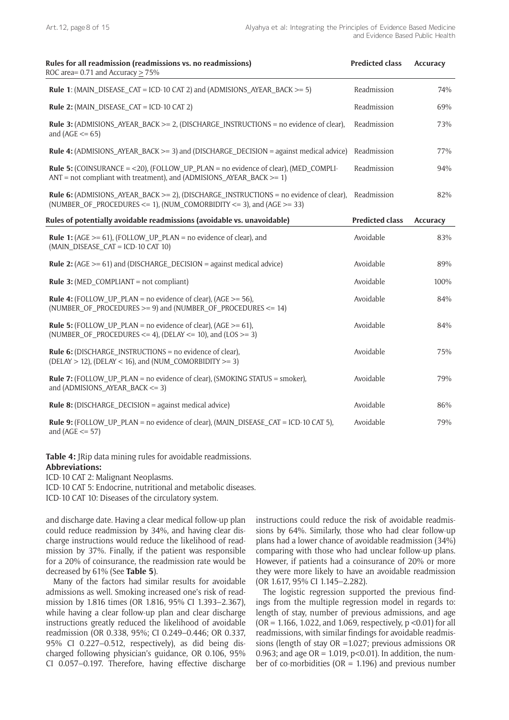| Rules for all readmission (readmissions vs. no readmissions)<br>ROC area= 0.71 and Accuracy $\geq$ 75%                                                                                  | <b>Predicted class</b> | <b>Accuracy</b> |
|-----------------------------------------------------------------------------------------------------------------------------------------------------------------------------------------|------------------------|-----------------|
| <b>Rule 1:</b> (MAIN_DISEASE_CAT = ICD-10 CAT 2) and (ADMISIONS_AYEAR_BACK $>= 5$ )                                                                                                     | Readmission            | 74%             |
| <b>Rule 2:</b> (MAIN DISEASE CAT = ICD-10 CAT 2)                                                                                                                                        | Readmission            | 69%             |
| <b>Rule 3:</b> (ADMISIONS AYEAR BACK $>= 2$ , (DISCHARGE INSTRUCTIONS = no evidence of clear),<br>and $(AGE \leq 65)$                                                                   | Readmission            | 73%             |
| Rule 4: (ADMISIONS_AYEAR_BACK >= 3) and (DISCHARGE_DECISION = against medical advice)                                                                                                   | Readmission            | 77%             |
| <b>Rule 5:</b> (COINSURANCE = $\langle 20 \rangle$ , (FOLLOW_UP_PLAN = no evidence of clear), (MED_COMPLI-<br>$ANT = not$ compliant with treatment), and (ADMISIONS AYEAR BACK $>= 1$ ) | Readmission            | 94%             |
| Rule 6: (ADMISIONS_AYEAR_BACK >= 2), (DISCHARGE_INSTRUCTIONS = no evidence of clear),<br>(NUMBER_OF_PROCEDURES <= 1), (NUM_COMORBIDITY <= 3), and (AGE >= 33)                           | Readmission            | 82%             |
| Rules of potentially avoidable readmissions (avoidable vs. unavoidable)                                                                                                                 | <b>Predicted class</b> | Accuracy        |
| <b>Rule 1:</b> (AGE $>= 61$ ), (FOLLOW_UP_PLAN = no evidence of clear), and<br>(MAIN_DISEASE_CAT = ICD-10 CAT 10)                                                                       | Avoidable              | 83%             |
| <b>Rule 2:</b> (AGE $> = 61$ ) and (DISCHARGE_DECISION = against medical advice)                                                                                                        | Avoidable              | 89%             |
| <b>Rule 3:</b> (MED_COMPLIANT = not compliant)                                                                                                                                          | Avoidable              | 100%            |
| <b>Rule 4:</b> (FOLLOW_UP_PLAN = no evidence of clear), (AGE $>=$ 56),<br>(NUMBER_OF_PROCEDURES $>= 9$ ) and (NUMBER_OF_PROCEDURES $<= 14$ )                                            | Avoidable              | 84%             |
| <b>Rule 5:</b> (FOLLOW_UP_PLAN = no evidence of clear), (AGE $>= 61$ ),<br>(NUMBER OF PROCEDURES $\le$ = 4), (DELAY $\le$ = 10), and (LOS $\ge$ = 3)                                    | Avoidable              | 84%             |
| <b>Rule 6:</b> (DISCHARGE_INSTRUCTIONS = no evidence of clear),<br>(DELAY > 12), (DELAY < 16), and (NUM_COMORBIDITY >= 3)                                                               | Avoidable              | 75%             |
| <b>Rule 7:</b> (FOLLOW_UP_PLAN = no evidence of clear), (SMOKING STATUS = smoker),<br>and $(ADMISIONS_AYEAR_BACK \leq 3)$                                                               | Avoidable              | 79%             |
| <b>Rule 8:</b> (DISCHARGE_DECISION = against medical advice)                                                                                                                            | Avoidable              | 86%             |
| <b>Rule 9:</b> (FOLLOW UP PLAN = no evidence of clear), (MAIN DISEASE CAT = ICD-10 CAT 5),<br>and $(AGE \le 57)$                                                                        | Avoidable              | 79%             |

**Table 4:** JRip data mining rules for avoidable readmissions. **Abbreviations:**

ICD-10 CAT 2: Malignant Neoplasms.

ICD-10 CAT 5: Endocrine, nutritional and metabolic diseases.

ICD-10 CAT 10: Diseases of the circulatory system.

and discharge date. Having a clear medical follow-up plan could reduce readmission by 34%, and having clear discharge instructions would reduce the likelihood of readmission by 37%. Finally, if the patient was responsible for a 20% of coinsurance, the readmission rate would be decreased by 61% (See **Table 5**).

Many of the factors had similar results for avoidable admissions as well. Smoking increased one's risk of readmission by 1.816 times (OR 1.816, 95% CI 1.393–2.367), while having a clear follow-up plan and clear discharge instructions greatly reduced the likelihood of avoidable readmission (OR 0.338, 95%; CI 0.249–0.446; OR 0.337, 95% CI 0.227–0.512, respectively), as did being discharged following physician's guidance, OR 0.106, 95% CI 0.057–0.197. Therefore, having effective discharge instructions could reduce the risk of avoidable readmissions by 64%. Similarly, those who had clear follow-up plans had a lower chance of avoidable readmission (34%) comparing with those who had unclear follow-up plans. However, if patients had a coinsurance of 20% or more they were more likely to have an avoidable readmission (OR 1.617, 95% CI 1.145–2.282).

The logistic regression supported the previous findings from the multiple regression model in regards to: length of stay, number of previous admissions, and age (OR = 1.166, 1.022, and 1.069, respectively, p <0.01) for all readmissions, with similar findings for avoidable readmissions (length of stay OR =1.027; previous admissions OR 0.963; and age  $OR = 1.019$ ,  $p < 0.01$ ). In addition, the number of co-morbidities ( $OR = 1.196$ ) and previous number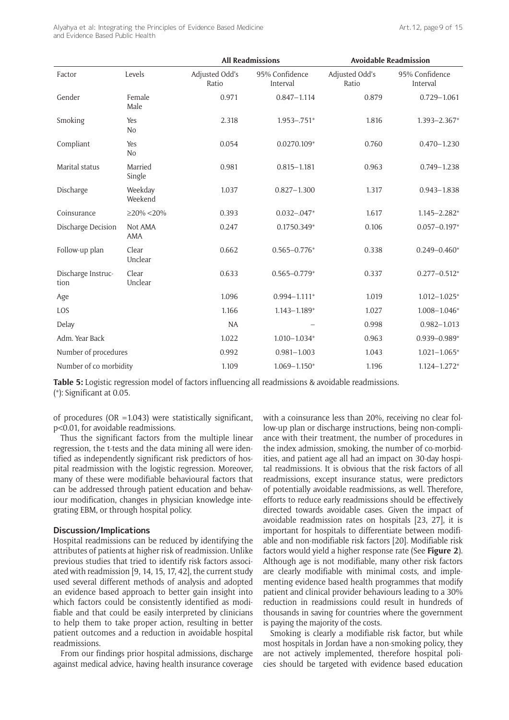Alyahya et al: Integrating the Principles of Evidence Based Medicine and Evidence Based Public Health

|                            |                       | <b>All Readmissions</b> |                            |                         | <b>Avoidable Readmission</b> |  |  |
|----------------------------|-----------------------|-------------------------|----------------------------|-------------------------|------------------------------|--|--|
| Factor                     | Levels                | Adjusted Odd's<br>Ratio | 95% Confidence<br>Interval | Adjusted Odd's<br>Ratio | 95% Confidence<br>Interval   |  |  |
| Gender                     | Female<br>Male        | 0.971                   | $0.847 - 1.114$            | 0.879                   | $0.729 - 1.061$              |  |  |
| Smoking                    | Yes<br>No             | 2.318                   | $1.953 - .751*$            | 1.816                   | $1.393 - 2.367*$             |  |  |
| Compliant                  | Yes<br>N <sub>o</sub> | 0.054                   | $0.0270.109*$              | 0.760                   | $0.470 - 1.230$              |  |  |
| Marital status             | Married<br>Single     | 0.981                   | $0.815 - 1.181$            | 0.963                   | $0.749 - 1.238$              |  |  |
| Discharge                  | Weekday<br>Weekend    | 1.037                   | $0.827 - 1.300$            | 1.317                   | $0.943 - 1.838$              |  |  |
| Coinsurance                | $\geq$ 20% <20%       | 0.393                   | $0.032 - 0.047*$           | 1.617                   | $1.145 - 2.282*$             |  |  |
| Discharge Decision         | Not AMA<br><b>AMA</b> | 0.247                   | 0.1750.349*                | 0.106                   | $0.057 - 0.197*$             |  |  |
| Follow-up plan             | Clear<br>Unclear      | 0.662                   | $0.565 - 0.776*$           | 0.338                   | $0.249 - 0.460*$             |  |  |
| Discharge Instruc-<br>tion | Clear<br>Unclear      | 0.633                   | $0.565 - 0.779*$           | 0.337                   | $0.277 - 0.512*$             |  |  |
| Age                        |                       | 1.096                   | $0.994 - 1.111*$           | 1.019                   | $1.012 - 1.025*$             |  |  |
| LOS                        |                       | 1.166                   | $1.143 - 1.189*$           | 1.027                   | $1.008 - 1.046*$             |  |  |
| Delay                      |                       | <b>NA</b>               |                            | 0.998                   | $0.982 - 1.013$              |  |  |
| Adm. Year Back             |                       | 1.022                   | $1.010 - 1.034*$           | 0.963                   | $0.939 - 0.989*$             |  |  |
| Number of procedures       |                       | 0.992                   | $0.981 - 1.003$            | 1.043                   | $1.021 - 1.065*$             |  |  |
| Number of co morbidity     |                       | 1.109                   | $1.069 - 1.150*$           | 1.196                   | $1.124 - 1.272*$             |  |  |

**Table 5:** Logistic regression model of factors influencing all readmissions & avoidable readmissions. (\*): Significant at 0.05.

of procedures (OR =  $1.043$ ) were statistically significant, p<0.01, for avoidable readmissions.

Thus the significant factors from the multiple linear regression, the t-tests and the data mining all were identified as independently significant risk predictors of hospital readmission with the logistic regression. Moreover, many of these were modifiable behavioural factors that can be addressed through patient education and behaviour modification, changes in physician knowledge integrating EBM, or through hospital policy.

#### **Discussion/Implications**

Hospital readmissions can be reduced by identifying the attributes of patients at higher risk of readmission. Unlike previous studies that tried to identify risk factors associated with readmission [9, 14, 15, 17, 42], the current study used several different methods of analysis and adopted an evidence based approach to better gain insight into which factors could be consistently identified as modifiable and that could be easily interpreted by clinicians to help them to take proper action, resulting in better patient outcomes and a reduction in avoidable hospital readmissions.

From our findings prior hospital admissions, discharge against medical advice, having health insurance coverage with a coinsurance less than 20%, receiving no clear follow-up plan or discharge instructions, being non-compliance with their treatment, the number of procedures in the index admission, smoking, the number of co-morbidities, and patient age all had an impact on 30-day hospital readmissions. It is obvious that the risk factors of all readmissions, except insurance status, were predictors of potentially avoidable readmissions, as well. Therefore, efforts to reduce early readmissions should be effectively directed towards avoidable cases. Given the impact of avoidable readmission rates on hospitals [23, 27], it is important for hospitals to differentiate between modifiable and non-modifiable risk factors [20]. Modifiable risk factors would yield a higher response rate (See **Figure 2**). Although age is not modifiable, many other risk factors are clearly modifiable with minimal costs, and implementing evidence based health programmes that modify patient and clinical provider behaviours leading to a 30% reduction in readmissions could result in hundreds of thousands in saving for countries where the government is paying the majority of the costs.

Smoking is clearly a modifiable risk factor, but while most hospitals in Jordan have a non-smoking policy, they are not actively implemented, therefore hospital policies should be targeted with evidence based education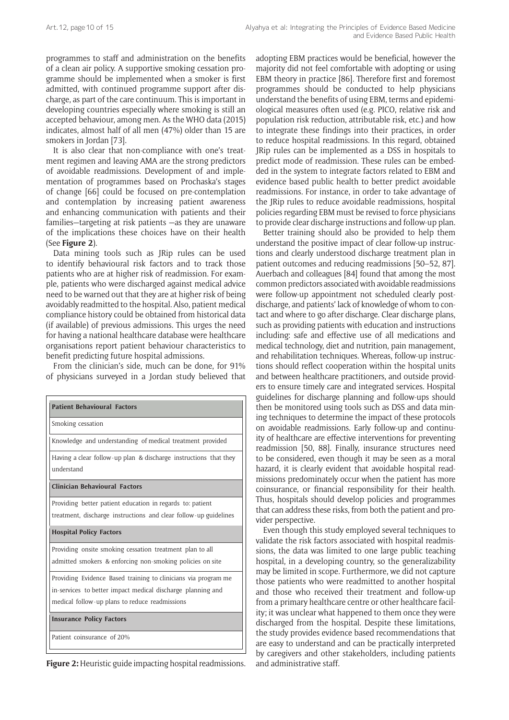programmes to staff and administration on the benefits of a clean air policy. A supportive smoking cessation programme should be implemented when a smoker is first admitted, with continued programme support after discharge, as part of the care continuum. This is important in developing countries especially where smoking is still an accepted behaviour, among men. As the WHO data (2015) indicates, almost half of all men (47%) older than 15 are smokers in Jordan [73].

It is also clear that non-compliance with one's treatment regimen and leaving AMA are the strong predictors of avoidable readmissions. Development of and implementation of programmes based on Prochaska's stages of change [66] could be focused on pre-contemplation and contemplation by increasing patient awareness and enhancing communication with patients and their families—targeting at risk patients —as they are unaware of the implications these choices have on their health (See **Figure 2**).

Data mining tools such as JRip rules can be used to identify behavioural risk factors and to track those patients who are at higher risk of readmission. For example, patients who were discharged against medical advice need to be warned out that they are at higher risk of being avoidably readmitted to the hospital. Also, patient medical compliance history could be obtained from historical data (if available) of previous admissions. This urges the need for having a national healthcare database were healthcare organisations report patient behaviour characteristics to benefit predicting future hospital admissions.

From the clinician's side, much can be done, for 91% of physicians surveyed in a Jordan study believed that

| <b>Patient Behavioural Factors</b>                                             |
|--------------------------------------------------------------------------------|
| Smoking cessation                                                              |
| Knowledge and understanding of medical treatment provided                      |
| Having a clear follow-up plan & discharge instructions that they<br>understand |
| Clinician Behavioural Factors                                                  |
| Providing better patient education in regards to: patient                      |
| treatment, discharge instructions and clear follow-up guidelines               |
| <b>Hospital Policy Factors</b>                                                 |
| Providing onsite smoking cessation treatment plan to all                       |
| admitted smokers & enforcing non-smoking policies on site                      |
| Providing Evidence Based training to clinicians via program me                 |
| in-services to better impact medical discharge planning and                    |
| medical follow-up plans to reduce readmissions                                 |
| <b>Insurance Policy Factors</b>                                                |
| Patient coinsurance of 20%                                                     |

**Figure 2:** Heuristic guide impacting hospital readmissions. and administrative staff.

adopting EBM practices would be beneficial, however the majority did not feel comfortable with adopting or using EBM theory in practice [86]. Therefore first and foremost programmes should be conducted to help physicians understand the benefits of using EBM, terms and epidemiological measures often used (e.g. PICO, relative risk and population risk reduction, attributable risk, etc.) and how to integrate these findings into their practices, in order to reduce hospital readmissions. In this regard, obtained JRip rules can be implemented as a DSS in hospitals to predict mode of readmission. These rules can be embedded in the system to integrate factors related to EBM and evidence based public health to better predict avoidable readmissions. For instance, in order to take advantage of the JRip rules to reduce avoidable readmissions, hospital policies regarding EBM must be revised to force physicians to provide clear discharge instructions and follow-up plan.

Better training should also be provided to help them understand the positive impact of clear follow-up instructions and clearly understood discharge treatment plan in patient outcomes and reducing readmissions [50–52, 87]. Auerbach and colleagues [84] found that among the most common predictors associated with avoidable readmissions were follow-up appointment not scheduled clearly postdischarge, and patients' lack of knowledge of whom to contact and where to go after discharge. Clear discharge plans, such as providing patients with education and instructions including: safe and effective use of all medications and medical technology, diet and nutrition, pain management, and rehabilitation techniques. Whereas, follow-up instructions should reflect cooperation within the hospital units and between healthcare practitioners, and outside providers to ensure timely care and integrated services. Hospital guidelines for discharge planning and follow-ups should then be monitored using tools such as DSS and data mining techniques to determine the impact of these protocols on avoidable readmissions. Early follow-up and continuity of healthcare are effective interventions for preventing readmission [50, 88]. Finally, insurance structures need to be considered, even though it may be seen as a moral hazard, it is clearly evident that avoidable hospital readmissions predominately occur when the patient has more coinsurance, or financial responsibility for their health. Thus, hospitals should develop policies and programmes that can address these risks, from both the patient and provider perspective.

Even though this study employed several techniques to validate the risk factors associated with hospital readmissions, the data was limited to one large public teaching hospital, in a developing country, so the generalizability may be limited in scope. Furthermore, we did not capture those patients who were readmitted to another hospital and those who received their treatment and follow-up from a primary healthcare centre or other healthcare facility; it was unclear what happened to them once they were discharged from the hospital. Despite these limitations, the study provides evidence based recommendations that are easy to understand and can be practically interpreted by caregivers and other stakeholders, including patients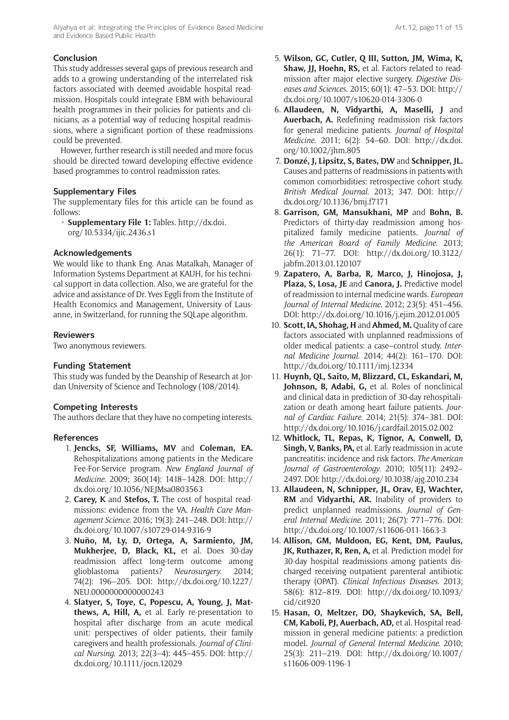This study addresses several gaps of previous research and adds to a growing understanding of the interrelated risk factors associated with deemed avoidable hospital readmission. Hospitals could integrate EBM with behavioural health programmes in their policies for patients and clinicians, as a potential way of reducing hospital readmissions, where a significant portion of these readmissions could be prevented.

However, further research is still needed and more focus should be directed toward developing effective evidence based programmes to control readmission rates.

## **Supplementary Files**

The supplementary files for this article can be found as follows:

• **Supplementary File 1:** Tables. [http://dx.doi.](http://dx.doi.org/10.5334/ijic.2436.s1) [org/10.5334/ijic.2436.s1](http://dx.doi.org/10.5334/ijic.2436.s1)

## **Acknowledgements**

We would like to thank Eng. Anas Matalkah, Manager of Information Systems Department at KAUH, for his technical support in data collection. Also, we are grateful for the advice and assistance of Dr. Yves Eggli from the Institute of Health Economics and Management, University of Lausanne, in Switzerland, for running the SQLape algorithm.

## **Reviewers**

Two anonymous reviewers.

## **Funding Statement**

This study was funded by the Deanship of Research at Jordan University of Science and Technology (108/2014).

## **Competing Interests**

The authors declare that they have no competing interests.

## **References**

- 1. **Jencks, SF, Williams, MV** and **Coleman, EA.** Rehospitalizations among patients in the Medicare Fee-For-Service program. *New England Journal of Medicine*. 2009; 360(14): 1418–1428. DOI: [http://](http://dx.doi.org/10.1056/NEJMsa0803563) [dx.doi.org/10.1056/NEJMsa0803563](http://dx.doi.org/10.1056/NEJMsa0803563)
- 2. **Carey, K** and **Stefos, T.** The cost of hospital readmissions: evidence from the VA. *Health Care Management Science*. 2016; 19(3): 241–248. DOI: [http://](http://dx.doi.org/10.1007/s10729-014-9316-9) [dx.doi.org/10.1007/s10729-014-9316-9](http://dx.doi.org/10.1007/s10729-014-9316-9)
- 3. **Nuño, M, Ly, D, Ortega, A, Sarmiento, JM, Mukherjee, D, Black, KL,** et al. Does 30-day readmission affect long-term outcome among glioblastoma patients? *Neurosurgery*. 2014; 74(2): 196–205. DOI: [http://dx.doi.org/10.1227/](http://dx.doi.org/10.1227/NEU.0000000000000243) [NEU.0000000000000243](http://dx.doi.org/10.1227/NEU.0000000000000243)
- 4. **Slatyer, S, Toye, C, Popescu, A, Young, J, Matthews, A, Hill, A,** et al. Early re-presentation to hospital after discharge from an acute medical unit: perspectives of older patients, their family caregivers and health professionals. *Journal of Clinical Nursing*. 2013; 22(3–4): 445–455. DOI: [http://](http://dx.doi.org/10.1111/jocn.12029) [dx.doi.org/10.1111/jocn.12029](http://dx.doi.org/10.1111/jocn.12029)
- 5. **Wilson, GC, Cutler, Q III, Sutton, JM, Wima, K, Shaw, JJ, Hoehn, RS,** et al. Factors related to readmission after major elective surgery. *Digestive Diseases and Sciences*. 2015; 60(1): 47–53. DOI: [http://](http://dx.doi.org/10.1007/s10620-014-3306-0) [dx.doi.org/10.1007/s10620-014-3306-0](http://dx.doi.org/10.1007/s10620-014-3306-0)
- 6. **Allaudeen, N, Vidyarthi, A, Maselli, J** and **Auerbach, A.** Redefining readmission risk factors for general medicine patients. *Journal of Hospital Medicine*. 2011; 6(2): 54–60. DOI: [http://dx.doi.](http://dx.doi.org/10.1002/jhm.805) [org/10.1002/jhm.805](http://dx.doi.org/10.1002/jhm.805)
- 7. **Donzé, J, Lipsitz, S, Bates, DW** and **Schnipper, JL.** Causes and patterns of readmissions in patients with common comorbidities: retrospective cohort study. *British Medical Journal*. 2013; 347. DOI: [http://](http://dx.doi.org/10.1136/bmj.f7171) [dx.doi.org/10.1136/bmj.f7171](http://dx.doi.org/10.1136/bmj.f7171)
- 8. **Garrison, GM, Mansukhani, MP** and **Bohn, B.** Predictors of thirty-day readmission among hospitalized family medicine patients. *Journal of the American Board of Family Medicine*. 2013; 26(1): 71–77. DOI: [http://dx.doi.org/10.3122/](http://dx.doi.org/10.3122/jabfm.2013.01.120107) [jabfm.2013.01.120107](http://dx.doi.org/10.3122/jabfm.2013.01.120107)
- 9. **Zapatero, A, Barba, R, Marco, J, Hinojosa, J, Plaza, S, Losa, JE** and **Canora, J.** Predictive model of readmission to internal medicine wards. *European Journal of Internal Medicine*. 2012; 23(5): 451–456. DOI: <http://dx.doi.org/10.1016/j.ejim.2012.01.005>
- 10. **Scott, IA, Shohag, H** and **Ahmed, M.** Quality of care factors associated with unplanned readmissions of older medical patients: a case–control study. *Internal Medicine Journal*. 2014; 44(2): 161–170. DOI: <http://dx.doi.org/10.1111/imj.12334>
- 11. **Huynh, QL, Saito, M, Blizzard, CL, Eskandari, M, Johnson, B, Adabi, G,** et al. Roles of nonclinical and clinical data in prediction of 30-day rehospitalization or death among heart failure patients. *Journal of Cardiac Failure*. 2014; 21(5): 374–381. DOI: <http://dx.doi.org/10.1016/j.cardfail.2015.02.002>
- 12. **Whitlock, TL, Repas, K, Tignor, A, Conwell, D, Singh, V, Banks, PA,** et al. Early readmission in acute pancreatitis: incidence and risk factors. *The American Journal of Gastroenterology*. 2010; 105(11): 2492– 2497. DOI:<http://dx.doi.org/10.1038/ajg.2010.234>
- 13. **Allaudeen, N, Schnipper, JL, Orav, EJ, Wachter, RM** and **Vidyarthi, AR.** Inability of providers to predict unplanned readmissions. *Journal of General Internal Medicine*. 2011; 26(7): 771–776. DOI: <http://dx.doi.org/10.1007/s11606-011-1663-3>
- 14. **Allison, GM, Muldoon, EG, Kent, DM, Paulus, JK, Ruthazer, R, Ren, A,** et al. Prediction model for 30-day hospital readmissions among patients discharged receiving outpatient parenteral antibiotic therapy (OPAT). *Clinical Infectious Diseases*. 2013; 58(6): 812–819. DOI: [http://dx.doi.org/10.1093/](http://dx.doi.org/10.1093/cid/cit920) [cid/cit920](http://dx.doi.org/10.1093/cid/cit920)
- 15. **Hasan, O, Meltzer, DO, Shaykevich, SA, Bell, CM, Kaboli, PJ, Auerbach, AD,** et al. Hospital readmission in general medicine patients: a prediction model. *Journal of General Internal Medicine*. 2010; 25(3): 211–219. DOI: [http://dx.doi.org/10.1007/](http://dx.doi.org/10.1007/s11606-009-1196-1) [s11606-009-1196-1](http://dx.doi.org/10.1007/s11606-009-1196-1)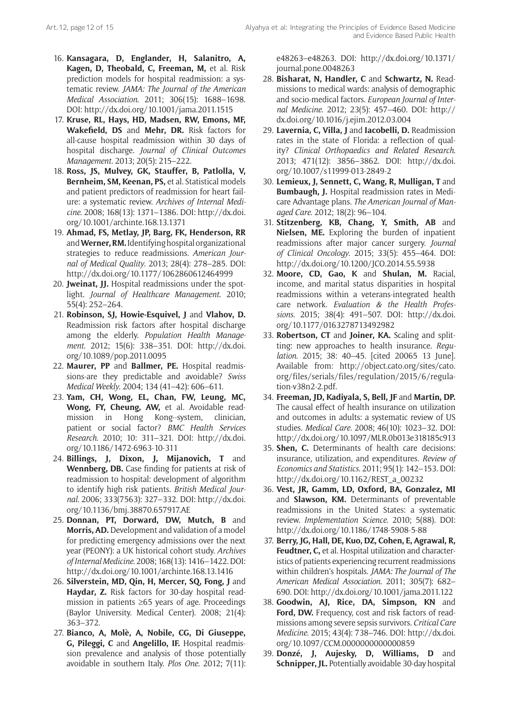- 16. **Kansagara, D, Englander, H, Salanitro, A, Kagen, D, Theobald, C, Freeman, M,** et al. Risk prediction models for hospital readmission: a systematic review. *JAMA: The Journal of the American Medical Association*. 2011; 306(15): 1688–1698. DOI: <http://dx.doi.org/10.1001/jama.2011.1515>
- 17. **Kruse, RL, Hays, HD, Madsen, RW, Emons, MF, Wakefield, DS** and **Mehr, DR.** Risk factors for all-cause hospital readmission within 30 days of hospital discharge. *Journal of Clinical Outcomes Management*. 2013; 20(5): 215–222.
- 18. **Ross, JS, Mulvey, GK, Stauffer, B, Patlolla, V, Bernheim, SM, Keenan, PS,** et al. Statistical models and patient predictors of readmission for heart failure: a systematic review. *Archives of Internal Medicine*. 2008; 168(13): 1371–1386. DOI: [http://dx.doi.](http://dx.doi.org/10.1001/archinte.168.13.1371) [org/10.1001/archinte.168.13.1371](http://dx.doi.org/10.1001/archinte.168.13.1371)
- 19. **Ahmad, FS, Metlay, JP, Barg, FK, Henderson, RR** and **Werner, RM.** Identifying hospital organizational strategies to reduce readmissions. *American Journal of Medical Quality*. 2013; 28(4): 278–285. DOI: <http://dx.doi.org/10.1177/1062860612464999>
- 20. **Jweinat, JJ.** Hospital readmissions under the spotlight. *Journal of Healthcare Management*. 2010; 55(4): 252–264.
- 21. **Robinson, SJ, Howie-Esquivel, J** and **Vlahov, D.** Readmission risk factors after hospital discharge among the elderly. *Population Health Management*. 2012; 15(6): 338–351. DOI: [http://dx.doi.](http://dx.doi.org/10.1089/pop.2011.0095) [org/10.1089/pop.2011.0095](http://dx.doi.org/10.1089/pop.2011.0095)
- 22. **Maurer, PP** and **Ballmer, PE.** Hospital readmissions-are they predictable and avoidable? *Swiss Medical Weekly*. 2004; 134 (41–42): 606–611.
- 23. **Yam, CH, Wong, EL, Chan, FW, Leung, MC, Wong, FY, Cheung, AW,** et al. Avoidable readmission in Hong Kong--system, clinician, patient or social factor? *BMC Health Services Research*. 2010; 10: 311–321. DOI: [http://dx.doi.](http://dx.doi.org/10.1186/1472-6963-10-311) [org/10.1186/1472-6963-10-311](http://dx.doi.org/10.1186/1472-6963-10-311)
- 24. **Billings, J, Dixon, J, Mijanovich, T** and **Wennberg, DB.** Case finding for patients at risk of readmission to hospital: development of algorithm to identify high risk patients. *British Medical Journal*. 2006; 333(7563): 327–332. DOI: [http://dx.doi.](http://dx.doi.org/10.1136/bmj.38870.657917.AE) [org/10.1136/bmj.38870.657917.AE](http://dx.doi.org/10.1136/bmj.38870.657917.AE)
- 25. **Donnan, PT, Dorward, DW, Mutch, B** and **Morris, AD.** Development and validation of a model for predicting emergency admissions over the next year (PEONY): a UK historical cohort study. *Archives of Internal Medicine*. 2008; 168(13): 1416–1422. DOI: <http://dx.doi.org/10.1001/archinte.168.13.1416>
- 26. **Silverstein, MD, Qin, H, Mercer, SQ, Fong, J** and **Haydar, Z.** Risk factors for 30-day hospital readmission in patients ≥65 years of age. Proceedings (Baylor University. Medical Center). 2008; 21(4): 363–372.
- 27. **Bianco, A, Molè, A, Nobile, CG, Di Giuseppe, G, Pileggi, C** and **Angelillo, IF.** Hospital readmission prevalence and analysis of those potentially avoidable in southern Italy. *Plos One*. 2012; 7(11):

e48263–e48263. DOI: [http://dx.doi.org/10.1371/](http://dx.doi.org/10.1371/journal.pone.0048263) [journal.pone.0048263](http://dx.doi.org/10.1371/journal.pone.0048263)

- 28. **Bisharat, N, Handler, C** and **Schwartz, N.** Readmissions to medical wards: analysis of demographic and socio-medical factors. *European Journal of Internal Medicine*. 2012; 23(5): 457–460. DOI: [http://](http://dx.doi.org/10.1016/j.ejim.2012.03.004) [dx.doi.org/10.1016/j.ejim.2012.03.004](http://dx.doi.org/10.1016/j.ejim.2012.03.004)
- 29. **Lavernia, C, Villa, J** and **Iacobelli, D.** Readmission rates in the state of Florida: a reflection of quality? *Clinical Orthopaedics and Related Research*. 2013; 471(12): 3856–3862. DOI: [http://dx.doi.](http://dx.doi.org/10.1007/s11999-013-2849-2) [org/10.1007/s11999-013-2849-2](http://dx.doi.org/10.1007/s11999-013-2849-2)
- 30. **Lemieux, J, Sennett, C, Wang, R, Mulligan, T** and **Bumbaugh, J.** Hospital readmission rates in Medicare Advantage plans. *The American Journal of Managed Care*. 2012; 18(2): 96–104.
- 31. **Stitzenberg, KB, Chang, Y, Smith, AB** and **Nielsen, ME.** Exploring the burden of inpatient readmissions after major cancer surgery. *Journal of Clinical Oncology*. 2015; 33(5): 455–464. DOI: <http://dx.doi.org/10.1200/JCO.2014.55.5938>
- 32. **Moore, CD, Gao, K** and **Shulan, M.** Racial, income, and marital status disparities in hospital readmissions within a veterans-integrated health care network. *Evaluation & the Health Professions*. 2015; 38(4): 491–507. DOI: [http://dx.doi.](http://dx.doi.org/10.1177/0163278713492982) [org/10.1177/0163278713492982](http://dx.doi.org/10.1177/0163278713492982)
- 33. **Robertson, CT** and **Joiner, KA.** Scaling and splitting: new approaches to health insurance. *Regulation*. 2015; 38: 40–45. [cited 20065 13 June]. Available from: [http://object.cato.org/sites/cato.](http://object.cato.org/sites/cato.org/files/serials/files/regulation/2015/6/regulation-v38n2-2.pdf) [org/files/serials/files/regulation/2015/6/regula](http://object.cato.org/sites/cato.org/files/serials/files/regulation/2015/6/regulation-v38n2-2.pdf)[tion-v38n2-2.pdf](http://object.cato.org/sites/cato.org/files/serials/files/regulation/2015/6/regulation-v38n2-2.pdf).
- 34. **Freeman, JD, Kadiyala, S, Bell, JF** and **Martin, DP.** The causal effect of health insurance on utilization and outcomes in adults: a systematic review of US studies. *Medical Care*. 2008; 46(10): 1023–32. DOI: <http://dx.doi.org/10.1097/MLR.0b013e318185c913>
- 35. **Shen, C.** Determinants of health care decisions: insurance, utilization, and expenditures. *Review of Economics and Statistics*. 2011; 95(1): 142–153. DOI: [http://dx.doi.org/10.1162/REST\\_a\\_00232](http://dx.doi.org/10.1162/REST_a_00232)
- 36. **Vest, JR, Gamm, LD, Oxford, BA, Gonzalez, MI** and **Slawson, KM.** Determinants of preventable readmissions in the United States: a systematic review. *Implementation Science*. 2010; 5(88). DOI: <http://dx.doi.org/10.1186/1748-5908-5-88>
- 37. **Berry, JG, Hall, DE, Kuo, DZ, Cohen, E, Agrawal, R, Feudtner, C,** et al. Hospital utilization and characteristics of patients experiencing recurrent readmissions within children's hospitals. *JAMA: The Journal of The American Medical Association*. 2011; 305(7): 682– 690. DOI: <http://dx.doi.org/10.1001/jama.2011.122>
- 38. **Goodwin, AJ, Rice, DA, Simpson, KN** and Ford, DW. Frequency, cost and risk factors of readmissions among severe sepsis survivors. *Critical Care Medicine*. 2015; 43(4): 738–746. DOI: [http://dx.doi.](http://dx.doi.org/10.1097/CCM.0000000000000859) [org/10.1097/CCM.0000000000000859](http://dx.doi.org/10.1097/CCM.0000000000000859)
- 39. **Donzé, J, Aujesky, D, Williams, D** and **Schnipper, JL.** Potentially avoidable 30-day hospital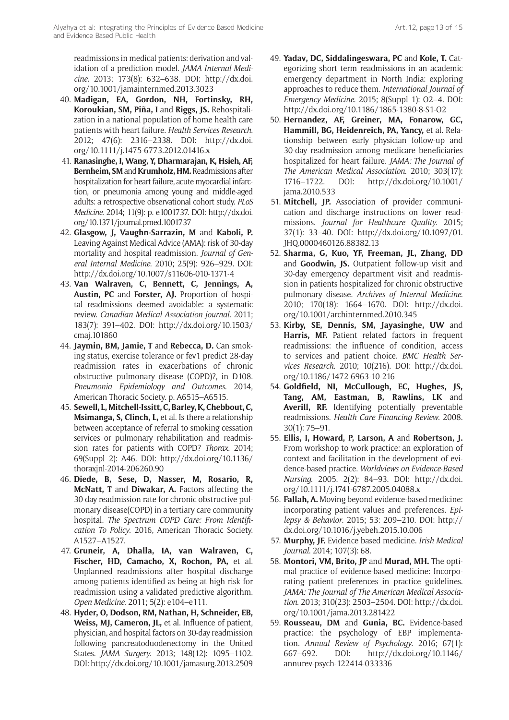readmissions in medical patients: derivation and validation of a prediction model. *JAMA Internal Medicine*. 2013; 173(8): 632–638. DOI: [http://dx.doi.](http://dx.doi.org/10.1001/jamainternmed.2013.3023) [org/10.1001/jamainternmed.2013.3023](http://dx.doi.org/10.1001/jamainternmed.2013.3023)

- 40. **Madigan, EA, Gordon, NH, Fortinsky, RH, Koroukian, SM, Piña, I** and **Riggs, JS.** Rehospitalization in a national population of home health care patients with heart failure. *Health Services Research*. 2012; 47(6): 2316–2338. DOI: [http://dx.doi.](http://dx.doi.org/10.1111/j.1475-6773.2012.01416.x) [org/10.1111/j.1475-6773.2012.01416.x](http://dx.doi.org/10.1111/j.1475-6773.2012.01416.x)
- 41. **Ranasinghe, I, Wang, Y, Dharmarajan, K, Hsieh, AF, Bernheim, SM** and **Krumholz, HM.** Readmissions after hospitalization for heart failure, acute myocardial infarction, or pneumonia among young and middle-aged adults: a retrospective observational cohort study. *PLoS Medicine*. 2014; 11(9): p. e1001737. DOI: [http://dx.doi.](http://dx.doi.org/10.1371/journal.pmed.1001737) [org/10.1371/journal.pmed.1001737](http://dx.doi.org/10.1371/journal.pmed.1001737)
- 42. **Glasgow, J, Vaughn-Sarrazin, M** and **Kaboli, P.** Leaving Against Medical Advice (AMA): risk of 30-day mortality and hospital readmission. *Journal of General Internal Medicine*. 2010; 25(9): 926–929. DOI: <http://dx.doi.org/10.1007/s11606-010-1371-4>
- 43. **Van Walraven, C, Bennett, C, Jennings, A, Austin, PC** and **Forster, AJ.** Proportion of hospital readmissions deemed avoidable: a systematic review. *Canadian Medical Association journal*. 2011; 183(7): 391–402. DOI: [http://dx.doi.org/10.1503/](http://dx.doi.org/10.1503/cmaj.101860) [cmaj.101860](http://dx.doi.org/10.1503/cmaj.101860)
- 44. **Jaymin, BM, Jamie, T** and **Rebecca, D.** Can smoking status, exercise tolerance or fev1 predict 28-day readmission rates in exacerbations of chronic obstructive pulmonary disease (COPD)?, in D108. *Pneumonia Epidemiology and Outcomes*. 2014, American Thoracic Society. p. A6515–A6515.
- 45. **Sewell, L, Mitchell-Issitt, C, Barley, K, Chebbout, C, Msimanga, S, Clinch, L,** et al. Is there a relationship between acceptance of referral to smoking cessation services or pulmonary rehabilitation and readmission rates for patients with COPD? *Thorax*. 2014; 69(Suppl 2): A46. DOI: [http://dx.doi.org/10.1136/](http://dx.doi.org/10.1136/thoraxjnl-2014-206260.90) [thoraxjnl-2014-206260.90](http://dx.doi.org/10.1136/thoraxjnl-2014-206260.90)
- 46. **Diede, B, Sese, D, Nasser, M, Rosario, R, McNatt, T** and **Diwakar, A.** Factors affecting the 30 day readmission rate for chronic obstructive pulmonary disease(COPD) in a tertiary care community hospital. *The Spectrum COPD Care: From Identification To Policy*. 2016, American Thoracic Society. A1527–A1527.
- 47. **Gruneir, A, Dhalla, IA, van Walraven, C, Fischer, HD, Camacho, X, Rochon, PA,** et al. Unplanned readmissions after hospital discharge among patients identified as being at high risk for readmission using a validated predictive algorithm. *Open Medicine*. 2011; 5(2): e104–e111.
- 48. **Hyder, O, Dodson, RM, Nathan, H, Schneider, EB, Weiss, MJ, Cameron, JL,** et al. Influence of patient, physician, and hospital factors on 30-day readmission following pancreatoduodenectomy in the United States. *JAMA Surgery*. 2013; 148(12): 1095–1102. DOI:<http://dx.doi.org/10.1001/jamasurg.2013.2509>
- 49. **Yadav, DC, Siddalingeswara, PC** and **Kole, T.** Categorizing short term readmissions in an academic emergency department in North India: exploring approaches to reduce them. *International Journal of Emergency Medicine*. 2015; 8(Suppl 1): O2–4. DOI: <http://dx.doi.org/10.1186/1865-1380-8-S1-O2>
- 50. **Hernandez, AF, Greiner, MA, Fonarow, GC, Hammill, BG, Heidenreich, PA, Yancy,** et al. Relationship between early physician follow-up and 30-day readmission among medicare beneficiaries hospitalized for heart failure. *JAMA: The Journal of The American Medical Association*. 2010; 303(17): 1716–1722. DOI: [http://dx.doi.org/10.1001/](http://dx.doi.org/10.1001/jama.2010.533) [jama.2010.533](http://dx.doi.org/10.1001/jama.2010.533)
- 51. **Mitchell, JP.** Association of provider communication and discharge instructions on lower readmissions. *Journal for Healthcare Quality*. 2015; 37(1): 33–40. DOI: [http://dx.doi.org/10.1097/01.](http://dx.doi.org/10.1097/01.JHQ.0000460126.88382.13) [JHQ.0000460126.88382.13](http://dx.doi.org/10.1097/01.JHQ.0000460126.88382.13)
- 52. **Sharma, G, Kuo, YF, Freeman, JL, Zhang, DD** and **Goodwin, JS.** Outpatient follow-up visit and 30-day emergency department visit and readmission in patients hospitalized for chronic obstructive pulmonary disease. *Archives of Internal Medicine*. 2010; 170(18): 1664–1670. DOI: [http://dx.doi.](http://dx.doi.org/10.1001/archinternmed.2010.345) [org/10.1001/archinternmed.2010.345](http://dx.doi.org/10.1001/archinternmed.2010.345)
- 53. **Kirby, SE, Dennis, SM, Jayasinghe, UW** and **Harris, MF.** Patient related factors in frequent readmissions: the influence of condition, access to services and patient choice. *BMC Health Services Research*. 2010; 10(216). DOI: [http://dx.doi.](http://dx.doi.org/10.1186/1472-6963-10-216) [org/10.1186/1472-6963-10-216](http://dx.doi.org/10.1186/1472-6963-10-216)
- 54. **Goldfield, NI, McCullough, EC, Hughes, JS, Tang, AM, Eastman, B, Rawlins, LK** and **Averill, RF.** Identifying potentially preventable readmissions. *Health Care Financing Review*. 2008. 30(1): 75–91.
- 55. **Ellis, I, Howard, P, Larson, A** and **Robertson, J.** From workshop to work practice: an exploration of context and facilitation in the development of evidence-based practice. *Worldviews on Evidence*-*Based Nursing*. 2005. 2(2): 84–93. DOI: [http://dx.doi.](http://dx.doi.org/10.1111/j.1741-6787.2005.04088.x) [org/10.1111/j.1741-6787.2005.04088.x](http://dx.doi.org/10.1111/j.1741-6787.2005.04088.x)
- 56. **Fallah, A.** Moving beyond evidence-based medicine: incorporating patient values and preferences. *Epilepsy & Behavior*. 2015; 53: 209–210. DOI: [http://](http://dx.doi.org/10.1016/j.yebeh.2015.10.006) [dx.doi.org/10.1016/j.yebeh.2015.10.006](http://dx.doi.org/10.1016/j.yebeh.2015.10.006)
- 57. **Murphy, JF.** Evidence based medicine. *Irish Medical Journal*. 2014; 107(3): 68.
- 58. **Montori, VM, Brito, JP** and **Murad, MH.** The optimal practice of evidence-based medicine: Incorporating patient preferences in practice guidelines. *JAMA: The Journal of The American Medical Association*. 2013; 310(23): 2503–2504. DOI: [http://dx.doi.](http://dx.doi.org/10.1001/jama.2013.281422) [org/10.1001/jama.2013.281422](http://dx.doi.org/10.1001/jama.2013.281422)
- 59. **Rousseau, DM** and **Gunia, BC.** Evidence-based practice: the psychology of EBP implementation. *Annual Review of Psychology*. 2016; 67(1): 667–692. DOI: [http://dx.doi.org/10.1146/](http://dx.doi.org/10.1146/annurev-psych-122414-033336) [annurev-psych-122414-033336](http://dx.doi.org/10.1146/annurev-psych-122414-033336)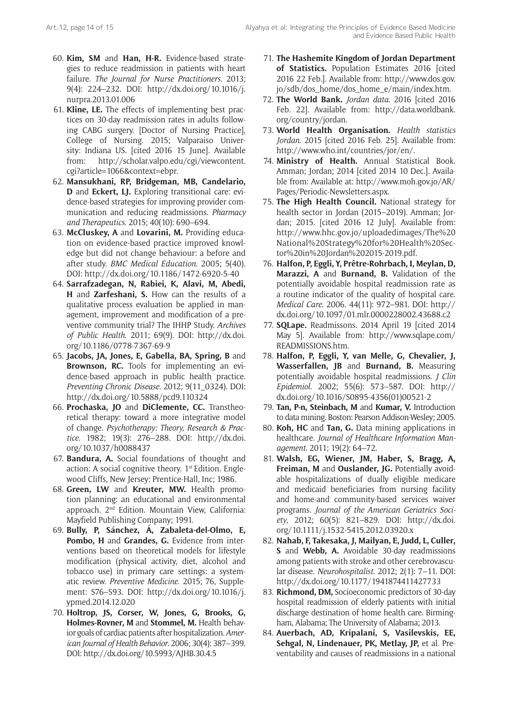- 60. **Kim, SM** and **Han, H-R.** Evidence-based strategies to reduce readmission in patients with heart failure. *The Journal for Nurse Practitioners*. 2013; 9(4): 224–232. DOI: [http://dx.doi.org/10.1016/j.](http://dx.doi.org/10.1016/j.nurpra.2013.01.006) [nurpra.2013.01.006](http://dx.doi.org/10.1016/j.nurpra.2013.01.006)
- 61. **Kline, LE.** The effects of implementing best practices on 30-day readmission rates in adults following CABG surgery. [Doctor of Nursing Practice], College of Nursing. 2015; Valparaiso University: Indiana US. [cited 2016 15 June]. Available from: [http://scholar.valpo.edu/cgi/viewcontent.](http://scholar.valpo.edu/cgi/viewcontent.cgi?article=1066&context=ebpr) [cgi?article=1066&context=ebpr](http://scholar.valpo.edu/cgi/viewcontent.cgi?article=1066&context=ebpr).
- 62. **Mansukhani, RP, Bridgeman, MB, Candelario, D** and **Eckert, LJ.** Exploring transitional care: evidence-based strategies for improving provider communication and reducing readmissions. *Pharmacy and Therapeutics*. 2015; 40(10): 690–694.
- 63. **McCluskey, A** and **Lovarini, M.** Providing education on evidence-based practice improved knowledge but did not change behaviour: a before and after study. *BMC Medical Education*. 2005; 5(40). DOI: <http://dx.doi.org/10.1186/1472-6920-5-40>
- 64. **Sarrafzadegan, N, Rabiei, K, Alavi, M, Abedi, H** and **Zarfeshani, S.** How can the results of a qualitative process evaluation be applied in management, improvement and modification of a preventive community trial? The IHHP Study. *Archives of Public Health*. 2011; 69(9). DOI: [http://dx.doi.](http://dx.doi.org/10.1186/0778-7367-69-9) [org/10.1186/0778-7367-69-9](http://dx.doi.org/10.1186/0778-7367-69-9)
- 65. **Jacobs, JA, Jones, E, Gabella, BA, Spring, B** and **Brownson, RC.** Tools for implementing an evidence-based approach in public health practice. *Preventing Chronic Disease*. 2012; 9(11\_0324). DOI: <http://dx.doi.org/10.5888/pcd9.110324>
- 66. **Prochaska, JO** and **DiClemente, CC.** Transtheoretical therapy: toward a more integrative model of change. *Psychotherapy: Theory, Research & Practice*. 1982; 19(3): 276–288. DOI: [http://dx.doi.](http://dx.doi.org/10.1037/h0088437) [org/10.1037/h0088437](http://dx.doi.org/10.1037/h0088437)
- 67. **Bandura, A.** Social foundations of thought and action: A social cognitive theory. 1<sup>st</sup> Edition. Englewood Cliffs, New Jersey: Prentice-Hall, Inc; 1986.
- 68. **Green, LW** and **Kreuter, MW.** Health promotion planning: an educational and environmental approach. 2nd Edition. Mountain View, California: Mayfield Publishing Company; 1991.
- 69. **Bully, P, Sánchez, Á, Zabaleta-del-Olmo, E, Pombo, H** and **Grandes, G.** Evidence from interventions based on theoretical models for lifestyle modification (physical activity, diet, alcohol and tobacco use) in primary care settings: a systematic review. *Preventive Medicine*. 2015; 76, Supplement: S76–S93. DOI: [http://dx.doi.org/10.1016/j.](http://dx.doi.org/10.1016/j.ypmed.2014.12.020) [ypmed.2014.12.020](http://dx.doi.org/10.1016/j.ypmed.2014.12.020)
- 70. **Holtrop, JS, Corser, W, Jones, G, Brooks, G, Holmes-Rovner, M** and **Stommel, M.** Health behavior goals of cardiac patients after hospitalization. *American Journal of Health Behavior*. 2006; 30(4): 387–399. DOI: <http://dx.doi.org/10.5993/AJHB.30.4.5>
- 71. **The Hashemite Kingdom of Jordan Department of Statistics.** Population Estimates 2016 [cited 2016 22 Feb.]. Available from: [http://www.dos.gov.](http://www.dos.gov.jo/sdb/dos_home/dos_home_e/main/index.htm) [jo/sdb/dos\\_home/dos\\_home\\_e/main/index.htm.](http://www.dos.gov.jo/sdb/dos_home/dos_home_e/main/index.htm)
- 72. **The World Bank.** *Jordan data*. 2016 [cited 2016 Feb. 22]. Available from: [http://data.worldbank.](http://data.worldbank.org/country/jordan) [org/country/jordan](http://data.worldbank.org/country/jordan).
- 73. **World Health Organisation.** *Health statistics Jordan*. 2015 [cited 2016 Feb. 25]. Available from: <http://www.who.int/countries/jor/en/>.
- 74. **Ministry of Health.** Annual Statistical Book. Amman; Jordan; 2014 [cited 2014 10 Dec.]. Available from: Available at: [http://www.moh.gov.jo/AR/](http://www.moh.gov.jo/AR/Pages/Periodic-Newsletters.aspx) [Pages/Periodic-Newsletters.aspx.](http://www.moh.gov.jo/AR/Pages/Periodic-Newsletters.aspx)
- 75. **The High Health Council.** National strategy for health sector in Jordan (2015–2019). Amman; Jordan; 2015. [cited 2016 12 July]. Available from: [http://www.hhc.gov.jo/uploadedimages/The%20](http://www.hhc.gov.jo/uploadedimages/The%20National%20Strategy%20for%20Health%20Sector%20in%20Jordan%202015-2019.pdf) [National%20Strategy%20for%20Health%20Sec](http://www.hhc.gov.jo/uploadedimages/The%20National%20Strategy%20for%20Health%20Sector%20in%20Jordan%202015-2019.pdf)[tor%20in%20Jordan%202015-2019.pdf.](http://www.hhc.gov.jo/uploadedimages/The%20National%20Strategy%20for%20Health%20Sector%20in%20Jordan%202015-2019.pdf)
- 76. **Halfon, P, Eggli, Y, Prêtre-Rohrbach, I, Meylan, D, Marazzi, A** and **Burnand, B.** Validation of the potentially avoidable hospital readmission rate as a routine indicator of the quality of hospital care. *Medical Care*. 2006. 44(11): 972–981. DOI: [http://](http://dx.doi.org/10.1097/01.mlr.0000228002.43688.c2) [dx.doi.org/10.1097/01.mlr.0000228002.43688.c2](http://dx.doi.org/10.1097/01.mlr.0000228002.43688.c2)
- 77. **SQLape.** Readmissons. 2014 April 19 [cited 2014 May 5]. Available from: [http://www.sqlape.com/](http://www.sqlape.com/READMISSIONS.htm) [READMISSIONS.htm](http://www.sqlape.com/READMISSIONS.htm).
- 78. **Halfon, P, Eggli, Y, van Melle, G, Chevalier, J, Wasserfallen, JB** and **Burnand, B.** Measuring potentially avoidable hospital readmissions. *J Clin Epidemiol*. 2002; 55(6): 573–587. DOI: [http://](http://dx.doi.org/10.1016/S0895-4356(01)00521-2) [dx.doi.org/10.1016/S0895-4356\(01\)00521-2](http://dx.doi.org/10.1016/S0895-4356(01)00521-2)
- 79. **Tan, P-n, Steinbach, M** and **Kumar, V.** Introduction to data mining. Boston: Pearson Addison-Wesley; 2005.
- 80. **Koh, HC** and **Tan, G.** Data mining applications in healthcare. *Journal of Healthcare Information Management*. 2011; 19(2): 64–72.
- 81. **Walsh, EG, Wiener, JM, Haber, S, Bragg, A, Freiman, M** and **Ouslander, JG.** Potentially avoidable hospitalizations of dually eligible medicare and medicaid beneficiaries from nursing facility and home-and community-based services waiver programs. *Journal of the American Geriatrics Society*, 2012; 60(5): 821–829. DOI: [http://dx.doi.](http://dx.doi.org/10.1111/j.1532-5415.2012.03920.x) [org/10.1111/j.1532-5415.2012.03920.x](http://dx.doi.org/10.1111/j.1532-5415.2012.03920.x)
- 82. **Nahab, F, Takesaka, J, Mailyan, E, Judd, L, Culler, S** and **Webb, A.** Avoidable 30-day readmissions among patients with stroke and other cerebrovascular disease. *Neurohospitalist*. 2012; 2(1): 7–11. DOI: <http://dx.doi.org/10.1177/1941874411427733>
- 83. **Richmond, DM,** Socioeconomic predictors of 30-day hospital readmission of elderly patients with initial discharge destination of home health care. Birmingham, Alabama; The University of Alabama; 2013.
- 84. **Auerbach, AD, Kripalani, S, Vasilevskis, EE, Sehgal, N, Lindenauer, PK, Metlay, JP,** et al. Preventability and causes of readmissions in a national